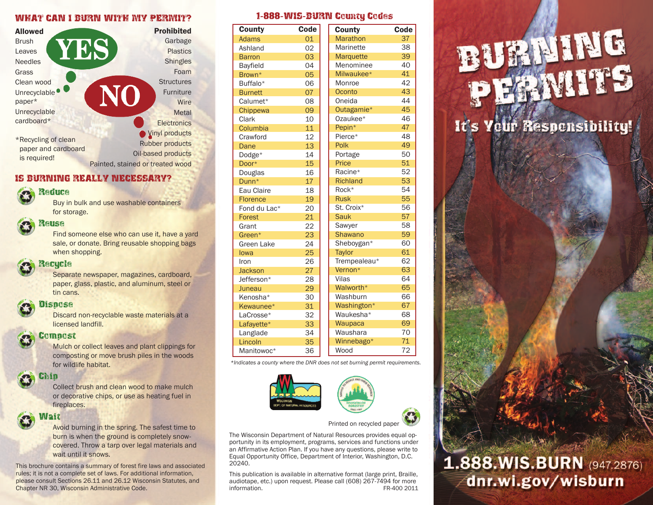#### WHAT CAN I BURN WITH MY PERMIT?



#### IS BURNING REALLY NECESSARY?

## **Reduce**

Buy in bulk and use washable containers for storage.

#### Reuse

Find someone else who can use it, have a yard sale, or donate. Bring reusable shopping bags when shopping.

### Recycle

Separate newspaper, magazines, cardboard, paper, glass, plastic, and aluminum, steel or tin cans.

#### **Dispose**

Discard non-recyclable waste materials at a licensed landfill.

#### Compost

Mulch or collect leaves and plant clippings for composting or move brush piles in the woods for wildlife habitat.

#### Chip

Collect brush and clean wood to make mulch or decorative chips, or use as heating fuel in fireplaces.

#### Wait

Avoid burning in the spring. The safest time to burn is when the ground is completely snowcovered. Throw a tarp over legal materials and wait until it snows.

This brochure contains a summary of forest fire laws and associated rules; it is not a complete set of laws. For additional information, please consult Sections 26.11 and 26.12 Wisconsin Statutes, and Chapter NR 30, Wisconsin Administrative Code.

#### 1-888-WIS-BURN County Codes

| <b>County</b>   | Code | <b>County</b>    | Code |
|-----------------|------|------------------|------|
| <b>Adams</b>    | 01   | <b>Marathon</b>  | 37   |
| Ashland         | 02   | Marinette        | 38   |
| <b>Barron</b>   | 03   | <b>Marquette</b> | 39   |
| <b>Bayfield</b> | 04   | Menominee        | 40   |
| Brown*          | 05   | Milwaukee*       | 41   |
| Buffalo*        | 06   | Monroe           | 42   |
| <b>Burnett</b>  | 07   | Oconto           | 43   |
| Calumet*        | 08   | Oneida           | 44   |
| Chippewa        | 09   | Outagamie*       | 45   |
| Clark           | 10   | Ozaukee*         | 46   |
| Columbia        | 11   | Pepin*           | 47   |
| Crawford        | 12   | Pierce*          | 48   |
| Dane            | 13   | Polk             | 49   |
| Dodge*          | 14   | Portage          | 50   |
| Door*           | 15   | Price            | 51   |
| Douglas         | 16   | Racine*          | 52   |
| Dunn*           | 17   | <b>Richland</b>  | 53   |
| Eau Claire      | 18   | Rock*            | 54   |
| <b>Florence</b> | 19   | <b>Rusk</b>      | 55   |
| Fond du Lac*    | 20   | St. Croix*       | 56   |
| Forest          | 21   | <b>Sauk</b>      | 57   |
| Grant           | 22   | Sawyer           | 58   |
| Green*          | 23   | <b>Shawano</b>   | 59   |
| Green Lake      | 24   | Sheboygan*       | 60   |
| lowa            | 25   | Taylor           | 61   |
| Iron            | 26   | Trempealeau*     | 62   |
| <b>Jackson</b>  | 27   | Vernon*          | 63   |
| Jefferson*      | 28   | Vilas            | 64   |
| Juneau          | 29   | Walworth*        | 65   |
| Kenosha*        | 30   | Washburn         | 66   |
| Kewaunee*       | 31   | Washington*      | 67   |
| LaCrosse*       | 32   | Waukesha*        | 68   |
| Lafayette*      | 33   | Waupaca          | 69   |
| Langlade        | 34   | Waushara         | 70   |
| Lincoln         | 35   | Winnebago*       | 71   |
| Manitowoc*      | 36   | Wood             | 72   |

*\*Indicates a county where the DNR does not set burning permit requirements.*



Printed on recycled paper

The Wisconsin Department of Natural Resources provides equal opportunity in its employment, programs, services and functions under an Affirmative Action Plan. If you have any questions, please write to Equal Opportunity Office, Department of Interior, Washington, D.C. 20240.

This publication is available in alternative format (large print, Braille, audiotape, etc.) upon request. Please call (608) 267-7494 for more information. FR-400 2011

# **BURNING** EAMITS

It's Yeur Responsibility!